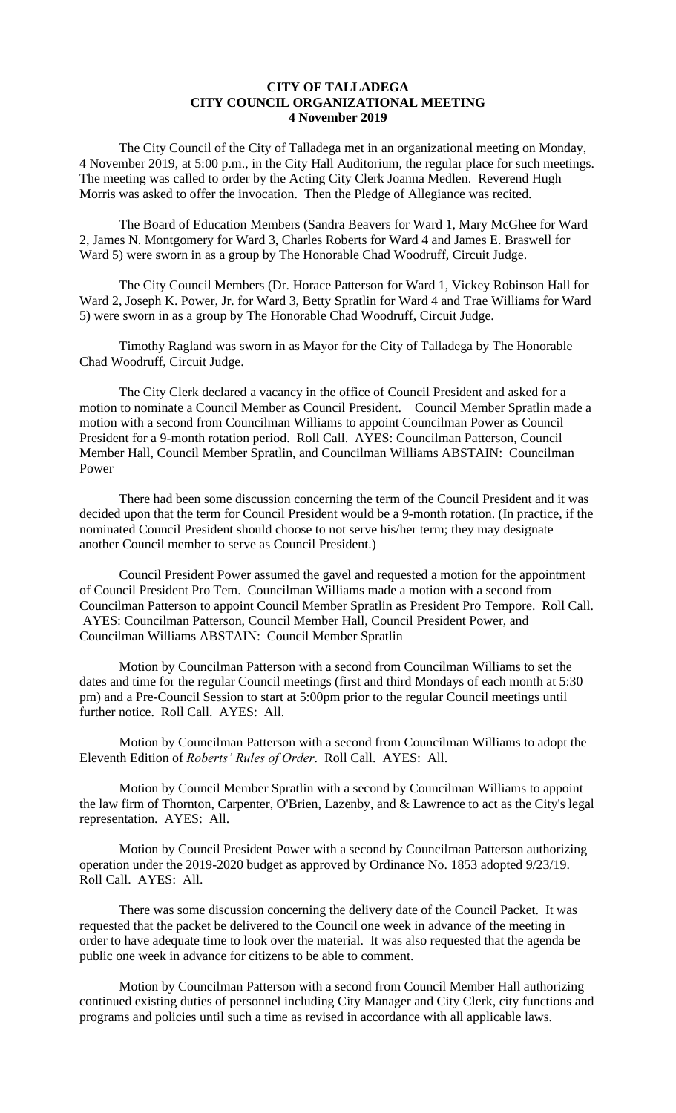### **CITY OF TALLADEGA CITY COUNCIL ORGANIZATIONAL MEETING 4 November 2019**

The City Council of the City of Talladega met in an organizational meeting on Monday, 4 November 2019, at 5:00 p.m., in the City Hall Auditorium, the regular place for such meetings. The meeting was called to order by the Acting City Clerk Joanna Medlen. Reverend Hugh Morris was asked to offer the invocation. Then the Pledge of Allegiance was recited.

The Board of Education Members (Sandra Beavers for Ward 1, Mary McGhee for Ward 2, James N. Montgomery for Ward 3, Charles Roberts for Ward 4 and James E. Braswell for Ward 5) were sworn in as a group by The Honorable Chad Woodruff, Circuit Judge.

The City Council Members (Dr. Horace Patterson for Ward 1, Vickey Robinson Hall for Ward 2, Joseph K. Power, Jr. for Ward 3, Betty Spratlin for Ward 4 and Trae Williams for Ward 5) were sworn in as a group by The Honorable Chad Woodruff, Circuit Judge.

Timothy Ragland was sworn in as Mayor for the City of Talladega by The Honorable Chad Woodruff, Circuit Judge.

The City Clerk declared a vacancy in the office of Council President and asked for a motion to nominate a Council Member as Council President. Council Member Spratlin made a motion with a second from Councilman Williams to appoint Councilman Power as Council President for a 9-month rotation period. Roll Call. AYES: Councilman Patterson, Council Member Hall, Council Member Spratlin, and Councilman Williams ABSTAIN: Councilman Power

There had been some discussion concerning the term of the Council President and it was decided upon that the term for Council President would be a 9-month rotation. (In practice, if the nominated Council President should choose to not serve his/her term; they may designate another Council member to serve as Council President.)

Council President Power assumed the gavel and requested a motion for the appointment of Council President Pro Tem. Councilman Williams made a motion with a second from Councilman Patterson to appoint Council Member Spratlin as President Pro Tempore. Roll Call. AYES: Councilman Patterson, Council Member Hall, Council President Power, and Councilman Williams ABSTAIN: Council Member Spratlin

Motion by Councilman Patterson with a second from Councilman Williams to set the dates and time for the regular Council meetings (first and third Mondays of each month at 5:30 pm) and a Pre-Council Session to start at 5:00pm prior to the regular Council meetings until further notice. Roll Call. AYES: All.

Motion by Councilman Patterson with a second from Councilman Williams to adopt the Eleventh Edition of *Roberts' Rules of Order*. Roll Call. AYES: All.

Motion by Council Member Spratlin with a second by Councilman Williams to appoint the law firm of Thornton, Carpenter, O'Brien, Lazenby, and & Lawrence to act as the City's legal representation. AYES: All.

Motion by Council President Power with a second by Councilman Patterson authorizing operation under the 2019-2020 budget as approved by Ordinance No. 1853 adopted 9/23/19. Roll Call. AYES: All.

There was some discussion concerning the delivery date of the Council Packet. It was requested that the packet be delivered to the Council one week in advance of the meeting in order to have adequate time to look over the material. It was also requested that the agenda be public one week in advance for citizens to be able to comment.

Motion by Councilman Patterson with a second from Council Member Hall authorizing continued existing duties of personnel including City Manager and City Clerk, city functions and programs and policies until such a time as revised in accordance with all applicable laws.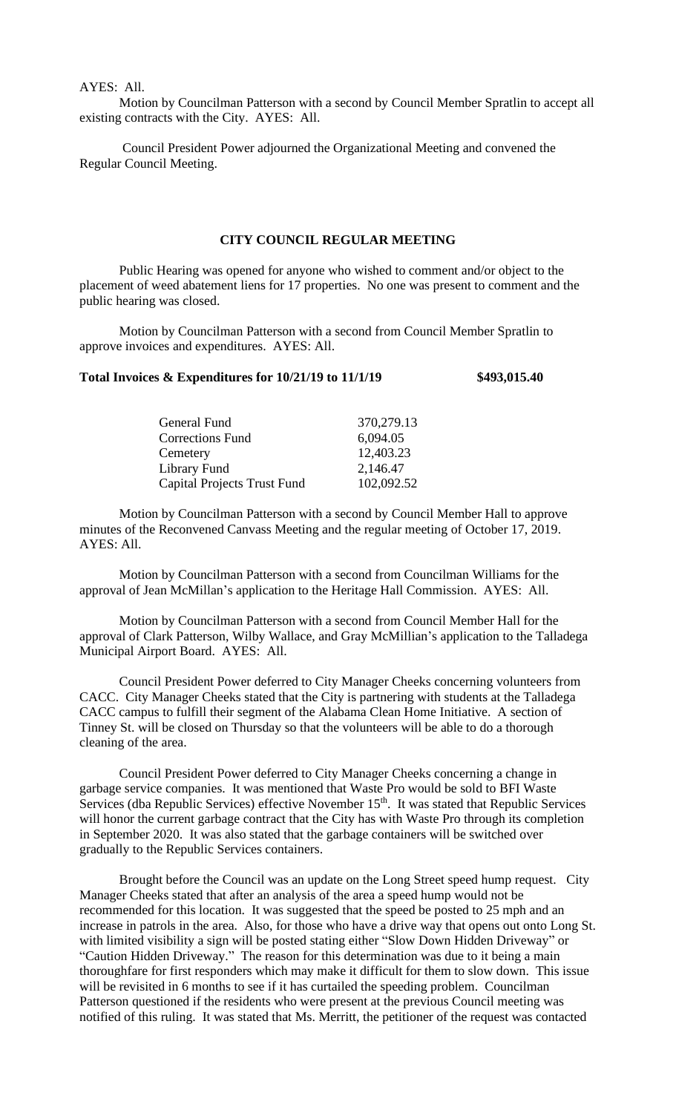# AYES: All.

Motion by Councilman Patterson with a second by Council Member Spratlin to accept all existing contracts with the City. AYES: All.

Council President Power adjourned the Organizational Meeting and convened the Regular Council Meeting.

# **CITY COUNCIL REGULAR MEETING**

Public Hearing was opened for anyone who wished to comment and/or object to the placement of weed abatement liens for 17 properties. No one was present to comment and the public hearing was closed.

Motion by Councilman Patterson with a second from Council Member Spratlin to approve invoices and expenditures. AYES: All.

### **Total Invoices & Expenditures for 10/21/19 to 11/1/19 \$493,015.40**

| General Fund                | 370,279.13 |
|-----------------------------|------------|
| <b>Corrections Fund</b>     | 6,094.05   |
| Cemetery                    | 12,403.23  |
| Library Fund                | 2,146.47   |
| Capital Projects Trust Fund | 102,092.52 |

Motion by Councilman Patterson with a second by Council Member Hall to approve minutes of the Reconvened Canvass Meeting and the regular meeting of October 17, 2019. AYES: All.

Motion by Councilman Patterson with a second from Councilman Williams for the approval of Jean McMillan's application to the Heritage Hall Commission. AYES: All.

Motion by Councilman Patterson with a second from Council Member Hall for the approval of Clark Patterson, Wilby Wallace, and Gray McMillian's application to the Talladega Municipal Airport Board. AYES: All.

Council President Power deferred to City Manager Cheeks concerning volunteers from CACC. City Manager Cheeks stated that the City is partnering with students at the Talladega CACC campus to fulfill their segment of the Alabama Clean Home Initiative. A section of Tinney St. will be closed on Thursday so that the volunteers will be able to do a thorough cleaning of the area.

Council President Power deferred to City Manager Cheeks concerning a change in garbage service companies. It was mentioned that Waste Pro would be sold to BFI Waste Services (dba Republic Services) effective November 15<sup>th</sup>. It was stated that Republic Services will honor the current garbage contract that the City has with Waste Pro through its completion in September 2020. It was also stated that the garbage containers will be switched over gradually to the Republic Services containers.

Brought before the Council was an update on the Long Street speed hump request. City Manager Cheeks stated that after an analysis of the area a speed hump would not be recommended for this location. It was suggested that the speed be posted to 25 mph and an increase in patrols in the area. Also, for those who have a drive way that opens out onto Long St. with limited visibility a sign will be posted stating either "Slow Down Hidden Driveway" or "Caution Hidden Driveway." The reason for this determination was due to it being a main thoroughfare for first responders which may make it difficult for them to slow down. This issue will be revisited in 6 months to see if it has curtailed the speeding problem. Councilman Patterson questioned if the residents who were present at the previous Council meeting was notified of this ruling. It was stated that Ms. Merritt, the petitioner of the request was contacted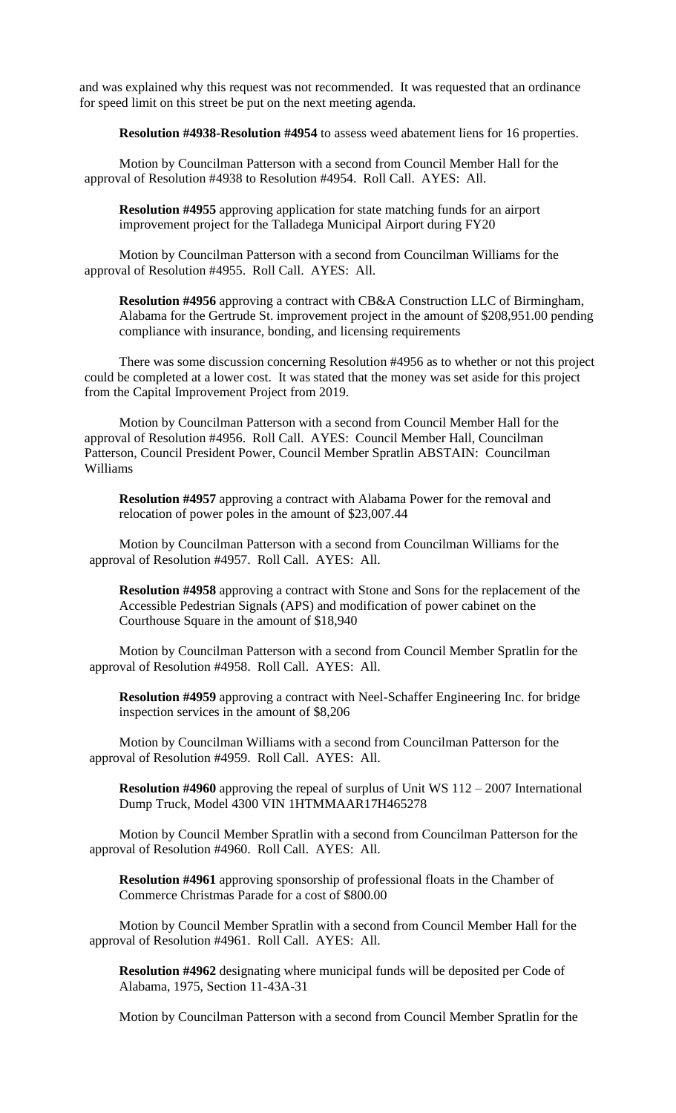and was explained why this request was not recommended. It was requested that an ordinance for speed limit on this street be put on the next meeting agenda.

**Resolution #4938-Resolution #4954** to assess weed abatement liens for 16 properties.

Motion by Councilman Patterson with a second from Council Member Hall for the approval of Resolution #4938 to Resolution #4954. Roll Call. AYES: All.

**Resolution #4955** approving application for state matching funds for an airport improvement project for the Talladega Municipal Airport during FY20

Motion by Councilman Patterson with a second from Councilman Williams for the approval of Resolution #4955. Roll Call. AYES: All.

**Resolution #4956** approving a contract with CB&A Construction LLC of Birmingham, Alabama for the Gertrude St. improvement project in the amount of \$208,951.00 pending compliance with insurance, bonding, and licensing requirements

There was some discussion concerning Resolution #4956 as to whether or not this project could be completed at a lower cost. It was stated that the money was set aside for this project from the Capital Improvement Project from 2019.

Motion by Councilman Patterson with a second from Council Member Hall for the approval of Resolution #4956. Roll Call. AYES: Council Member Hall, Councilman Patterson, Council President Power, Council Member Spratlin ABSTAIN: Councilman Williams

**Resolution #4957** approving a contract with Alabama Power for the removal and relocation of power poles in the amount of \$23,007.44

Motion by Councilman Patterson with a second from Councilman Williams for the approval of Resolution #4957. Roll Call. AYES: All.

**Resolution #4958** approving a contract with Stone and Sons for the replacement of the Accessible Pedestrian Signals (APS) and modification of power cabinet on the Courthouse Square in the amount of \$18,940

Motion by Councilman Patterson with a second from Council Member Spratlin for the approval of Resolution #4958. Roll Call. AYES: All.

**Resolution #4959** approving a contract with Neel-Schaffer Engineering Inc. for bridge inspection services in the amount of \$8,206

Motion by Councilman Williams with a second from Councilman Patterson for the approval of Resolution #4959. Roll Call. AYES: All.

**Resolution #4960** approving the repeal of surplus of Unit WS 112 – 2007 International Dump Truck, Model 4300 VIN 1HTMMAAR17H465278

Motion by Council Member Spratlin with a second from Councilman Patterson for the approval of Resolution #4960. Roll Call. AYES: All.

**Resolution #4961** approving sponsorship of professional floats in the Chamber of Commerce Christmas Parade for a cost of \$800.00

Motion by Council Member Spratlin with a second from Council Member Hall for the approval of Resolution #4961. Roll Call. AYES: All.

**Resolution #4962** designating where municipal funds will be deposited per Code of Alabama, 1975, Section 11-43A-31

Motion by Councilman Patterson with a second from Council Member Spratlin for the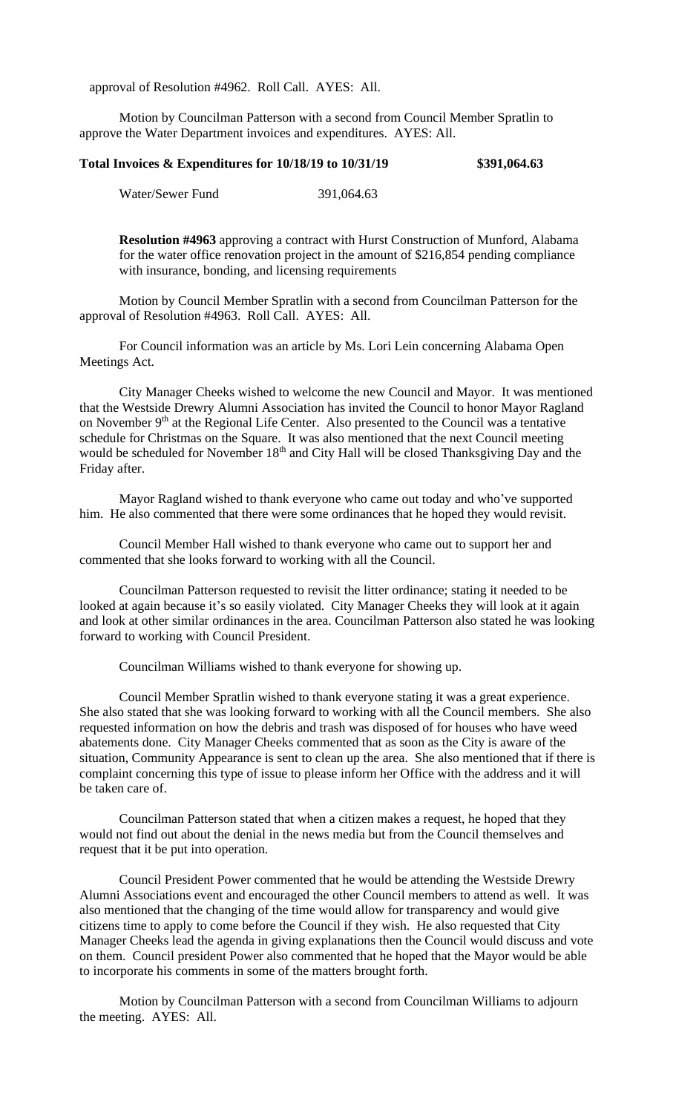approval of Resolution #4962. Roll Call. AYES: All.

Motion by Councilman Patterson with a second from Council Member Spratlin to approve the Water Department invoices and expenditures. AYES: All.

#### **Total Invoices & Expenditures for 10/18/19 to 10/31/19 \$391,064.63**

Water/Sewer Fund 391,064.63

**Resolution #4963** approving a contract with Hurst Construction of Munford, Alabama for the water office renovation project in the amount of \$216,854 pending compliance with insurance, bonding, and licensing requirements

Motion by Council Member Spratlin with a second from Councilman Patterson for the approval of Resolution #4963. Roll Call. AYES: All.

For Council information was an article by Ms. Lori Lein concerning Alabama Open Meetings Act.

City Manager Cheeks wished to welcome the new Council and Mayor. It was mentioned that the Westside Drewry Alumni Association has invited the Council to honor Mayor Ragland on November 9<sup>th</sup> at the Regional Life Center. Also presented to the Council was a tentative schedule for Christmas on the Square. It was also mentioned that the next Council meeting would be scheduled for November 18<sup>th</sup> and City Hall will be closed Thanksgiving Day and the Friday after.

Mayor Ragland wished to thank everyone who came out today and who've supported him. He also commented that there were some ordinances that he hoped they would revisit.

Council Member Hall wished to thank everyone who came out to support her and commented that she looks forward to working with all the Council.

Councilman Patterson requested to revisit the litter ordinance; stating it needed to be looked at again because it's so easily violated. City Manager Cheeks they will look at it again and look at other similar ordinances in the area. Councilman Patterson also stated he was looking forward to working with Council President.

Councilman Williams wished to thank everyone for showing up.

Council Member Spratlin wished to thank everyone stating it was a great experience. She also stated that she was looking forward to working with all the Council members. She also requested information on how the debris and trash was disposed of for houses who have weed abatements done. City Manager Cheeks commented that as soon as the City is aware of the situation, Community Appearance is sent to clean up the area. She also mentioned that if there is complaint concerning this type of issue to please inform her Office with the address and it will be taken care of.

Councilman Patterson stated that when a citizen makes a request, he hoped that they would not find out about the denial in the news media but from the Council themselves and request that it be put into operation.

Council President Power commented that he would be attending the Westside Drewry Alumni Associations event and encouraged the other Council members to attend as well. It was also mentioned that the changing of the time would allow for transparency and would give citizens time to apply to come before the Council if they wish. He also requested that City Manager Cheeks lead the agenda in giving explanations then the Council would discuss and vote on them. Council president Power also commented that he hoped that the Mayor would be able to incorporate his comments in some of the matters brought forth.

Motion by Councilman Patterson with a second from Councilman Williams to adjourn the meeting. AYES: All.